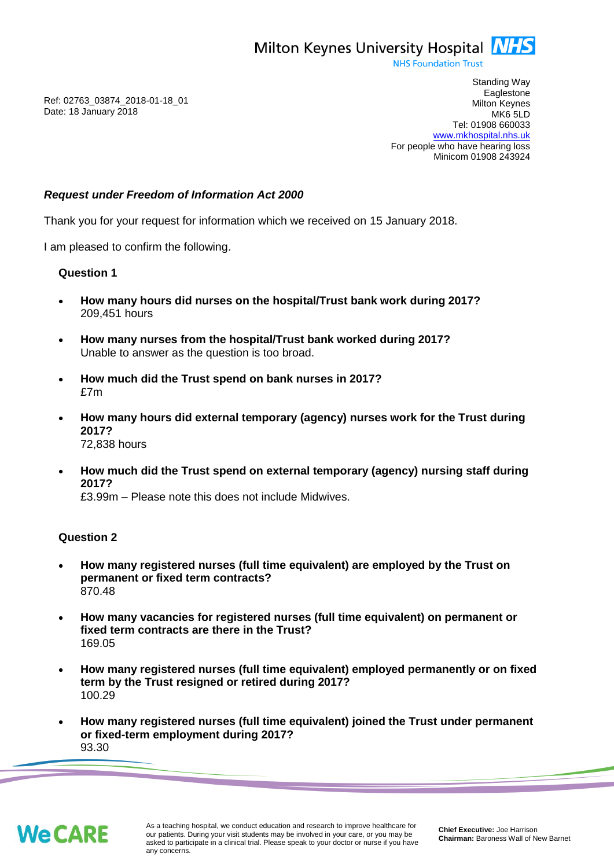**NHS Foundation Trust** 

Ref: 02763\_03874\_2018-01-18\_01 Date: 18 January 2018

Standing Way **Eaglestone** Milton Keynes MK6 5LD Tel: 01908 660033 [www.mkhospital.nhs.uk](http://www.mkhospital.nhs.uk/) For people who have hearing loss Minicom 01908 243924

## *Request under Freedom of Information Act 2000*

Thank you for your request for information which we received on 15 January 2018.

I am pleased to confirm the following.

### **Question 1**

- **How many hours did nurses on the hospital/Trust bank work during 2017?** 209,451 hours
- **How many nurses from the hospital/Trust bank worked during 2017?** Unable to answer as the question is too broad.
- **How much did the Trust spend on bank nurses in 2017?** £7m
- **How many hours did external temporary (agency) nurses work for the Trust during 2017?** 72,838 hours
- **How much did the Trust spend on external temporary (agency) nursing staff during 2017?**

£3.99m – Please note this does not include Midwives.

# **Question 2**

- **How many registered nurses (full time equivalent) are employed by the Trust on permanent or fixed term contracts?** 870.48
- **How many vacancies for registered nurses (full time equivalent) on permanent or fixed term contracts are there in the Trust?** 169.05
- **How many registered nurses (full time equivalent) employed permanently or on fixed term by the Trust resigned or retired during 2017?** 100.29
- **How many registered nurses (full time equivalent) joined the Trust under permanent or fixed-term employment during 2017?** 93.30